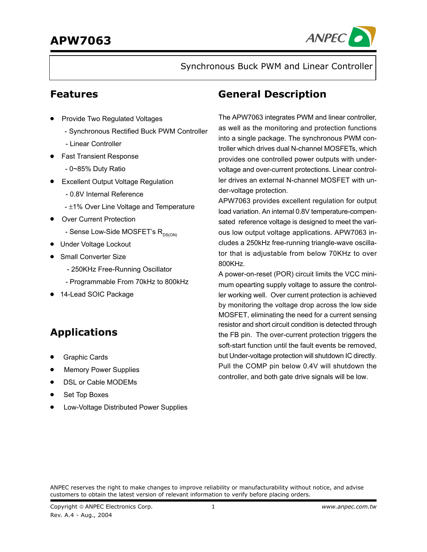

Synchronous Buck PWM and Linear Controller

### **Features**

- **Provide Two Regulated Voltages** 
	- Synchronous Rectified Buck PWM Controller
	- Linear Controller
- Fast Transient Response
	- 0~85% Duty Ratio
- Excellent Output Voltage Regulation
	- 0.8V Internal Reference
	- ±1% Over Line Voltage and Temperature
- Over Current Protection
	- Sense Low-Side MOSFET's  $R_{DS(ON)}$
- Under Voltage Lockout
- Small Converter Size
	- 250KHz Free-Running Oscillator
	- Programmable From 70kHz to 800kHz
- 14-Lead SOIC Package

# **Applications**

- Graphic Cards
- Memory Power Supplies
- DSL or Cable MODEMs
- Set Top Boxes
- Low-Voltage Distributed Power Supplies

### **General Description**

The APW7063 integrates PWM and linear controller, as well as the monitoring and protection functions into a single package. The synchronous PWM controller which drives dual N-channel MOSFETs, which provides one controlled power outputs with undervoltage and over-current protections. Linear controller drives an external N-channel MOSFET with under-voltage protection.

APW7063 provides excellent regulation for output load variation. An internal 0.8V temperature-compensated reference voltage is designed to meet the various low output voltage applications. APW7063 includes a 250kHz free-running triangle-wave oscillator that is adjustable from below 70KHz to over 800KHz.

A power-on-reset (POR) circuit limits the VCC minimum opearting supply voltage to assure the controller working well. Over current protection is achieved by monitoring the voltage drop across the low side MOSFET, eliminating the need for a current sensing resistor and short circuit condition is detected through the FB pin. The over-current protection triggers the soft-start function until the fault events be removed, but Under-voltage protection will shutdown IC directly. Pull the COMP pin below 0.4V will shutdown the controller, and both gate drive signals will be low.

ANPEC reserves the right to make changes to improve reliability or manufacturability without notice, and advise customers to obtain the latest version of relevant information to verify before placing orders.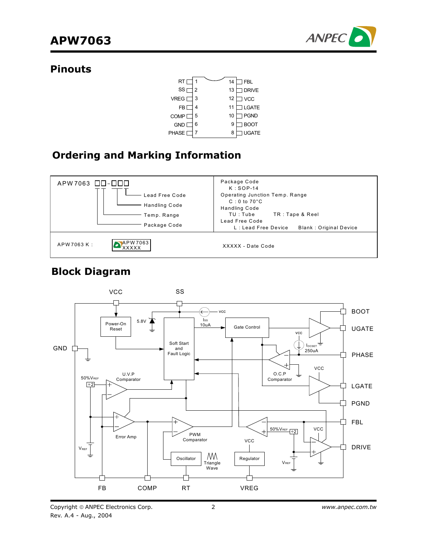

### **Pinouts**



### **Ordering and Marking Information**



### **Block Diagram**



Copyright © ANPEC Electronics Corp. Rev. A.4 - Aug., 2004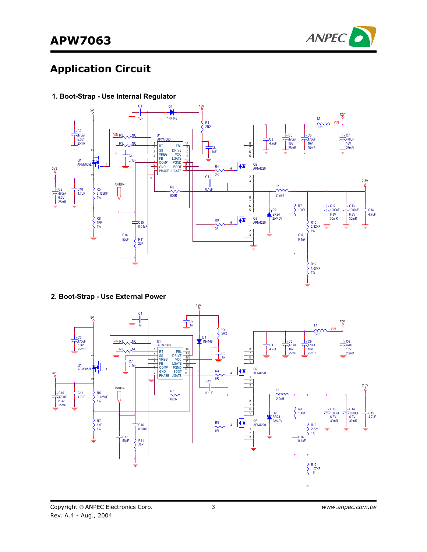

# **Application Circuit**



**1. Boot-Strap - Use Internal Regulator**

**2. Boot-Strap - Use External Power**

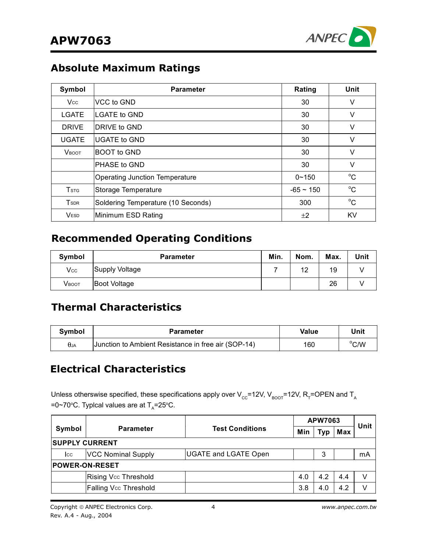

# **Absolute Maximum Ratings**

| Symbol                  | <b>Parameter</b>                      | Rating         | Unit        |
|-------------------------|---------------------------------------|----------------|-------------|
| <b>Vcc</b>              | VCC to GND                            | 30             | V           |
| LGATE                   | <b>LGATE to GND</b>                   | 30             | V           |
| <b>DRIVE</b>            | <b>DRIVE to GND</b>                   | 30             | V           |
| <b>UGATE</b>            | <b>IUGATE to GND</b>                  | 30             | $\vee$      |
| <b>VBOOT</b>            | <b>BOOT</b> to GND                    | 30             | V           |
|                         | <b>PHASE to GND</b>                   | 30             | V           |
|                         | <b>Operating Junction Temperature</b> | $0 - 150$      | $^{\circ}C$ |
| <b>T</b> <sub>STG</sub> | Storage Temperature                   | $-65 \sim 150$ | $^{\circ}C$ |
| <b>T</b> <sub>SDR</sub> | Soldering Temperature (10 Seconds)    | 300            | $^{\circ}C$ |
| <b>VESD</b>             | Minimum ESD Rating                    | ±2             | KV          |

### **Recommended Operating Conditions**

| Symbol     | <b>Parameter</b>    | Min. | Nom. | Max. | Unit |
|------------|---------------------|------|------|------|------|
| <b>Vcc</b> | Supply Voltage      |      | 12   | 19   |      |
| Vвоот      | <b>Boot Voltage</b> |      |      | 26   |      |

# **Thermal Characteristics**

| <b>Symbol</b> | <b>Parameter</b>                                    | Value | Unit           |
|---------------|-----------------------------------------------------|-------|----------------|
| $\theta$ JA   | Junction to Ambient Resistance in free air (SOP-14) | 160   | $^{\circ}$ C/W |

# **Electrical Characteristics**

Unless otherswise specified, these specifications apply over V<sub>cc</sub>=12V, V<sub>BOOT</sub>=12V, R<sub>T</sub>=OPEN and T<sub>A</sub> =0∼70°C. Typlcal values are at T<sub>A</sub>=25°C.

|                       |                              | <b>Test Conditions</b><br>Min |     | <b>APW7063</b> |     |      |  |
|-----------------------|------------------------------|-------------------------------|-----|----------------|-----|------|--|
| Symbol                | <b>Parameter</b>             |                               |     | Typ            | Max | Unit |  |
| <b>SUPPLY CURRENT</b> |                              |                               |     |                |     |      |  |
| <b>CC</b>             | <b>VCC Nominal Supply</b>    | <b>UGATE and LGATE Open</b>   |     | 3              |     | mA   |  |
| <b>POWER-ON-RESET</b> |                              |                               |     |                |     |      |  |
|                       | Rising Vcc Threshold         |                               | 4.0 | 4.2            | 4.4 |      |  |
|                       | <b>Falling Vcc Threshold</b> |                               | 3.8 | 4.0            | 4.2 |      |  |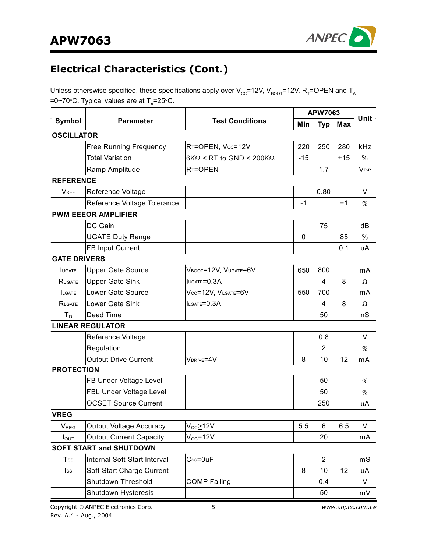

# **Electrical Characteristics (Cont.)**

Unless otherswise specified, these specifications apply over  $V_{cc}$ =12V,  $V_{BoOT}$ =12V, R<sub>T</sub>=OPEN and T<sub>A</sub> =0∼70°C. Typlcal values are at T<sub>A</sub>=25°C.

|                             |                                |                                        |       | APW7063        |            |           |
|-----------------------------|--------------------------------|----------------------------------------|-------|----------------|------------|-----------|
| Symbol                      | <b>Parameter</b>               | <b>Test Conditions</b>                 | Min   | <b>Typ</b>     | <b>Max</b> | Unit      |
| <b>OSCILLATOR</b>           |                                |                                        |       |                |            |           |
|                             | <b>Free Running Frequency</b>  | RT=OPEN, Vcc=12V                       | 220   | 250            | 280        | kHz       |
|                             | <b>Total Variation</b>         | $6K\Omega$ < RT to GND < 200K $\Omega$ | $-15$ |                | $+15$      | $\%$      |
|                             | Ramp Amplitude                 | R <sub>T</sub> =OPEN                   |       | 1.7            |            | $V_{P-P}$ |
| <b>REFERENCE</b>            |                                |                                        |       |                |            |           |
| <b>VREF</b>                 | Reference Voltage              |                                        |       | 0.80           |            | V         |
|                             | Reference Voltage Tolerance    |                                        | $-1$  |                | $+1$       | %         |
|                             | <b>PWM EEEOR AMPLIFIER</b>     |                                        |       |                |            |           |
|                             | DC Gain                        |                                        |       | 75             |            | dB        |
|                             | <b>UGATE Duty Range</b>        |                                        | 0     |                | 85         | %         |
|                             | <b>FB Input Current</b>        |                                        |       |                | 0.1        | uA        |
| <b>GATE DRIVERS</b>         |                                |                                        |       |                |            |           |
| <b>LUGATE</b>               | <b>Upper Gate Source</b>       | VBOOT=12V, VUGATE=6V                   | 650   | 800            |            | mA        |
| RUGATE                      | <b>Upper Gate Sink</b>         | IUGATE=0.3A                            |       | 4              | 8          | Ω         |
| LGATE                       | Lower Gate Source              | Vcc=12V, VLGATE=6V                     | 550   | 700            |            | mA        |
| RLGATE                      | Lower Gate Sink                | ILGATE=0.3A                            |       | 4              | 8          | Ω         |
| $T_D$                       | Dead Time                      |                                        |       | 50             |            | nS        |
|                             | <b>LINEAR REGULATOR</b>        |                                        |       |                |            |           |
|                             | Reference Voltage              |                                        |       | 0.8            |            | $\vee$    |
|                             | Regulation                     |                                        |       | $\overline{2}$ |            | %         |
|                             | <b>Output Drive Current</b>    | VDRIVE=4V                              | 8     | 10             | 12         | mA        |
| <b>PROTECTION</b>           |                                |                                        |       |                |            |           |
|                             | FB Under Voltage Level         |                                        |       | 50             |            | %         |
|                             | FBL Under Voltage Level        |                                        |       | 50             |            | $\%$      |
|                             | <b>OCSET Source Current</b>    |                                        |       | 250            |            | μA        |
| <b>VREG</b>                 |                                |                                        |       |                |            |           |
| $\mathsf{V}_{\mathsf{REG}}$ | <b>Output Voltage Accuracy</b> | $V_{CC}$ >12V                          | 5.5   | 6              | 6.5        | V         |
| $I_{\text{OUT}}$            | <b>Output Current Capacity</b> | $V_{CC} = 12V$                         |       | 20             |            | mA        |
|                             | <b>SOFT START and SHUTDOWN</b> |                                        |       |                |            |           |
| <b>Tss</b>                  | Internal Soft-Start Interval   | $Css = 0uF$                            |       | $\overline{2}$ |            | mS        |
| $\mathsf{lss}$              | Soft-Start Charge Current      |                                        | 8     | 10             | 12         | uA        |
|                             | Shutdown Threshold             | <b>COMP Falling</b>                    |       | 0.4            |            | V         |
|                             | Shutdown Hysteresis            |                                        |       | 50             |            | mV        |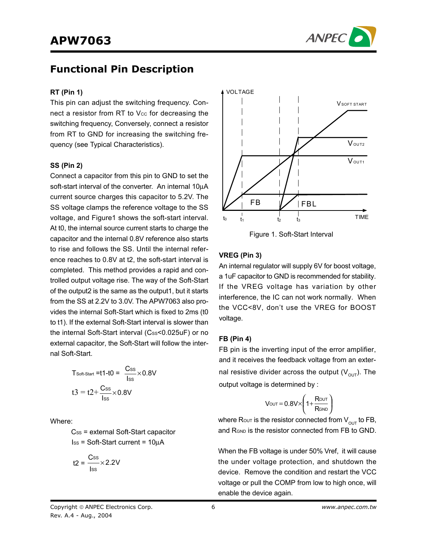

### **Functional Pin Description**

#### **RT (Pin 1)**

This pin can adjust the switching frequency. Connect a resistor from RT to  $V_{CC}$  for decreasing the switching frequency, Conversely, connect a resistor from RT to GND for increasing the switching frequency (see Typical Characteristics).

#### **SS (Pin 2)**

Connect a capacitor from this pin to GND to set the soft-start interval of the converter. An internal 10µA current source charges this capacitor to 5.2V. The SS voltage clamps the reference voltage to the SS voltage, and Figure1 shows the soft-start interval. At t0, the internal source current starts to charge the capacitor and the internal 0.8V reference also starts to rise and follows the SS. Until the internal reference reaches to 0.8V at t2, the soft-start interval is completed. This method provides a rapid and controlled output voltage rise. The way of the Soft-Start of the output2 is the same as the output1, but it starts from the SS at 2.2V to 3.0V. The APW7063 also provides the internal Soft-Start which is fixed to 2ms (t0 to t1). If the external Soft-Start interval is slower than the internal Soft-Start interval (Css<0.025uF) or no external capacitor, the Soft-Start will follow the internal Soft-Start.

$$
T_{\text{Soft-Start}} = t1-t0 = \frac{C_{\text{SS}}}{\text{loss}} \times 0.8V
$$

$$
t3 = t2 + \frac{C_{\text{SS}}}{\text{loss}} \times 0.8V
$$

Where:

 $Cs<sub>s</sub>$  = external Soft-Start capacitor  $Iss = Soft-Start current = 10<sub>µ</sub>A$ 

$$
t2 = \frac{Css}{\text{lss}} \times 2.2V
$$



Figure 1. Soft-Start Interval

### **VREG (Pin 3)**

An internal regulator will supply 6V for boost voltage, a 1uF capacitor to GND is recommended for stability. If the VREG voltage has variation by other interference, the IC can not work normally. When the VCC<8V, don't use the VREG for BOOST voltage.

#### **FB (Pin 4)**

FB pin is the inverting input of the error amplifier, and it receives the feedback voltage from an external resistive divider across the output  $(V_{\text{out}})$ . The output voltage is determined by :

$$
V_{\text{OUT}} = 0.8V \times \left(1 + \frac{R_{\text{OUT}}}{R_{\text{GND}}}\right)
$$

where Rout is the resistor connected from  $V_{\text{out}}$  to FB, and R<sub>GND</sub> is the resistor connected from FB to GND.

When the FB voltage is under 50% Vref, it will cause the under voltage protection, and shutdown the device. Remove the condition and restart the VCC voltage or pull the COMP from low to high once, will enable the device again.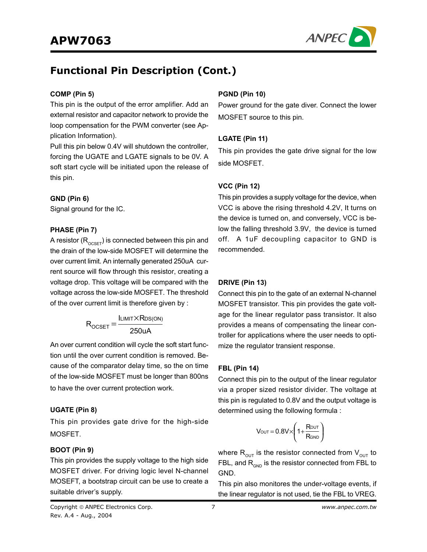

### **Functional Pin Description (Cont.)**

#### **COMP (Pin 5)**

This pin is the output of the error amplifier. Add an external resistor and capacitor network to provide the loop compensation for the PWM converter (see Application Information).

Pull this pin below 0.4V will shutdown the controller, forcing the UGATE and LGATE signals to be 0V. A soft start cycle will be initiated upon the release of this pin.

#### **GND (Pin 6)**

Signal ground for the IC.

#### **PHASE (Pin 7)**

A resistor  $(R_{OCSET})$  is connected between this pin and the drain of the low-side MOSFET will determine the over current limit. An internally generated 250uA current source will flow through this resistor, creating a voltage drop. This voltage will be compared with the voltage across the low-side MOSFET. The threshold of the over current limit is therefore given by :

$$
R_{OCSET} = \frac{I_{LIMIT} \times R_{DS(ON)}}{250 uA}
$$

An over current condition will cycle the soft start function until the over current condition is removed. Because of the comparator delay time, so the on time of the low-side MOSFET must be longer than 800ns to have the over current protection work.

#### **UGATE (Pin 8)**

This pin provides gate drive for the high-side MOSFET.

#### **BOOT (Pin 9)**

This pin provides the supply voltage to the high side MOSFET driver. For driving logic level N-channel MOSEFT, a bootstrap circuit can be use to create a suitable driver's supply.

#### **PGND (Pin 10)**

Power ground for the gate diver. Connect the lower MOSFET source to this pin.

#### **LGATE (Pin 11)**

This pin provides the gate drive signal for the low side MOSFET.

### **VCC (Pin 12)**

This pin provides a supply voltage for the device, when VCC is above the rising threshold 4.2V, It turns on the device is turned on, and conversely, VCC is below the falling threshold 3.9V, the device is turned off. A 1uF decoupling capacitor to GND is recommended.

#### **DRIVE (Pin 13)**

Connect this pin to the gate of an external N-channel MOSFET transistor. This pin provides the gate voltage for the linear regulator pass transistor. It also provides a means of compensating the linear controller for applications where the user needs to optimize the regulator transient response.

#### **FBL (Pin 14)**

Connect this pin to the output of the linear regulator via a proper sized resistor divider. The voltage at this pin is regulated to 0.8V and the output voltage is determined using the following formula :

$$
V_{\text{OUT}} = 0.8 V \times \left(1 + \frac{R_{\text{OUT}}}{R_{\text{GND}}}\right)
$$

where  $R_{\text{out}}$  is the resistor connected from  $V_{\text{out}}$  to FBL, and  $R_{GND}$  is the resistor connected from FBL to GND.

This pin also monitores the under-voltage events, if the linear regulator is not used, tie the FBL to VREG.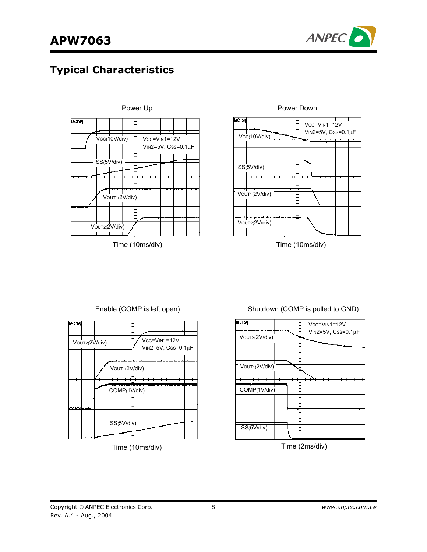

### **Typical Characteristics**





Time (10ms/div) Time (10ms/div)



### Enable (COMP is left open) Shutdown (COMP is pulled to GND)

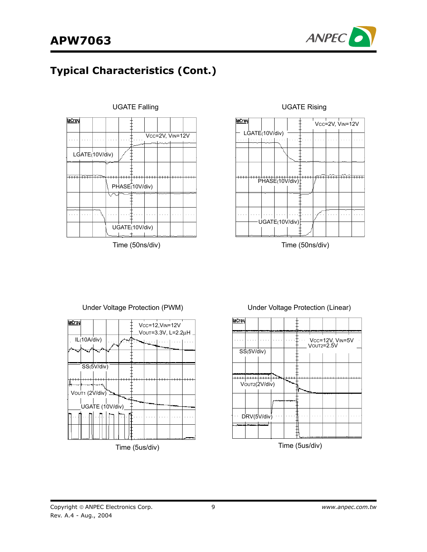

# **Typical Characteristics (Cont.)**





Time (50ns/div) Time (50ns/div)



#### Under Voltage Protection (PWM) Under Voltage Protection (Linear)



#### Time (5us/div)

#### Copyright © ANPEC Electronics Corp. Rev. A.4 - Aug., 2004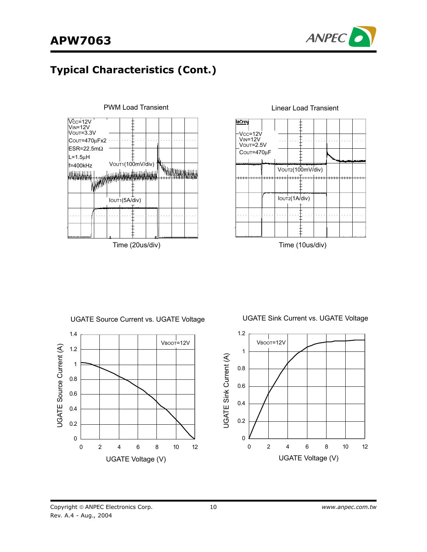

# **Typical Characteristics (Cont.)**





Time (10us/div)

UGATE Source Current vs. UGATE Voltage



UGATE Sink Current vs. UGATE Voltage

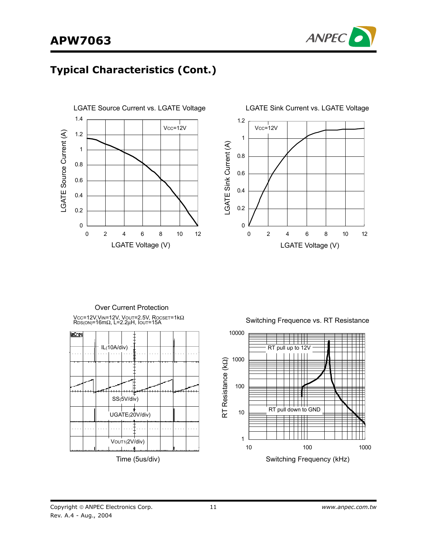# **APW7063**



# **Typical Characteristics (Cont.)**





Vcc=12V,VιΝ=12V, Voυτ=2.5V, Rocsετ=1kΩ<br>Rɒs(οΝ)=16mΩ, L=2.2μH, Ιουτ=15A Over Current Protection



Time (5us/div)

Switching Frequence vs. RT Resistance

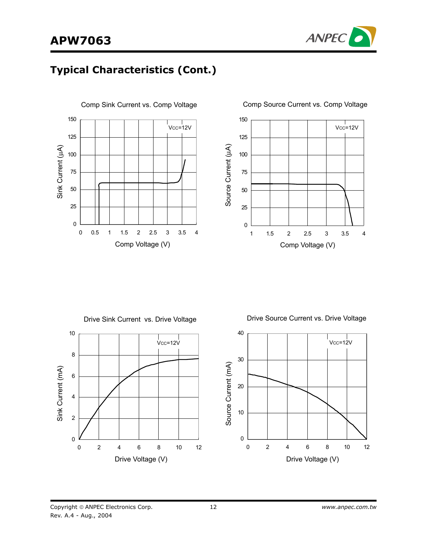



### **Typical Characteristics (Cont.)**







Copyright © ANPEC Electronics Corp. Rev. A.4 - Aug., 2004

12 *www.anpec.com.tw*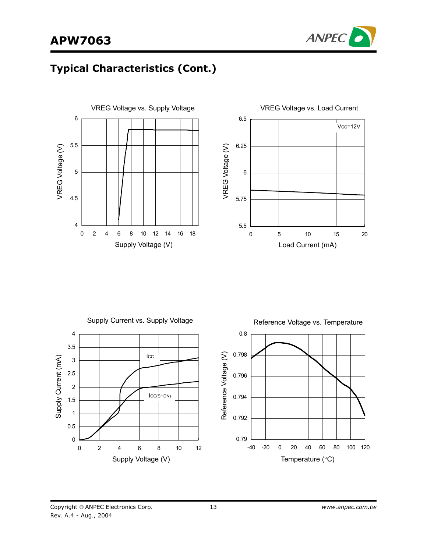# **APW7063**



# **Typical Characteristics (Cont.)**





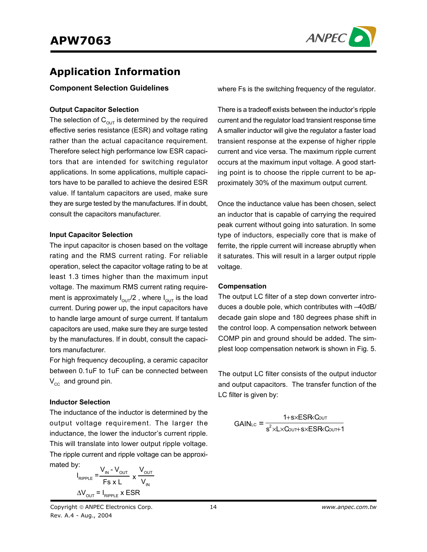

### **Application Information**

#### **Component Selection Guidelines**

#### **Output Capacitor Selection**

The selection of  $C_{\text{out}}$  is determined by the required effective series resistance (ESR) and voltage rating rather than the actual capacitance requirement. Therefore select high performance low ESR capacitors that are intended for switching regulator applications. In some applications, multiple capacitors have to be paralled to achieve the desired ESR value. If tantalum capacitors are used, make sure they are surge tested by the manufactures. If in doubt, consult the capacitors manufacturer.

#### **Input Capacitor Selection**

The input capacitor is chosen based on the voltage rating and the RMS current rating. For reliable operation, select the capacitor voltage rating to be at least 1.3 times higher than the maximum input voltage. The maximum RMS current rating requirement is approximately  $I_{\text{OUT}}/2$ , where  $I_{\text{OUT}}$  is the load current. During power up, the input capacitors have to handle large amount of surge current. If tantalum capacitors are used, make sure they are surge tested by the manufactures. If in doubt, consult the capacitors manufacturer.

For high frequency decoupling, a ceramic capacitor between 0.1uF to 1uF can be connected between  $V_{cc}$  and ground pin.

#### **Inductor Selection**

The inductance of the inductor is determined by the output voltage requirement. The larger the inductance, the lower the inductor's current ripple. This will translate into lower output ripple voltage. The ripple current and ripple voltage can be approximated by:

$$
V_{\text{RIPPLE}} = \frac{V_{\text{IN}} - V_{\text{OUT}}}{F s x L} \times \frac{V_{\text{OUT}}}{V_{\text{IN}}}
$$

$$
\Delta V_{\text{OUT}} = I_{\text{RIPPLE}} \times ESR
$$

where Fs is the switching frequency of the regulator.

There is a tradeoff exists between the inductor's ripple current and the regulator load transient response time A smaller inductor will give the regulator a faster load transient response at the expense of higher ripple current and vice versa. The maximum ripple current occurs at the maximum input voltage. A good starting point is to choose the ripple current to be approximately 30% of the maximum output current.

Once the inductance value has been chosen, select an inductor that is capable of carrying the required peak current without going into saturation. In some type of inductors, especially core that is make of ferrite, the ripple current will increase abruptly when it saturates. This will result in a larger output ripple voltage.

#### **Compensation**

The output LC filter of a step down converter introduces a double pole, which contributes with –40dB/ decade gain slope and 180 degrees phase shift in the control loop. A compensation network between COMP pin and ground should be added. The simplest loop compensation network is shown in Fig. 5.

The output LC filter consists of the output inductor and output capacitors. The transfer function of the LC filter is given by:

$$
GAIN_{LC} = \frac{1+s \times ESR \cdot Cov \cdot T}{s^2 \times L \times Cov \cdot T + s \times ESR \cdot Cov \cdot T + 1}
$$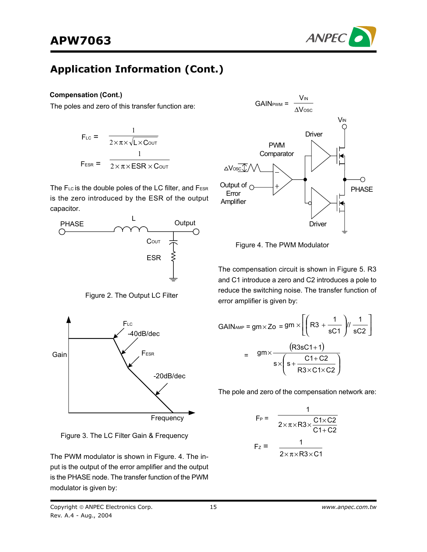

#### **Compensation (Cont.)**

The poles and zero of this transfer function are:

$$
F_{LC} = \frac{1}{2 \times \pi \times \sqrt{L \times CovT}}
$$
  

$$
F_{ESR} = \frac{1}{2 \times \pi \times ESR \times CovT}
$$

The FLC is the double poles of the LC filter, and FESR is the zero introduced by the ESR of the output capacitor.



Figure 2. The Output LC Filter



Figure 3. The LC Filter Gain & Frequency

The PWM modulator is shown in Figure. 4. The input is the output of the error amplifier and the output is the PHASE node. The transfer function of the PWM modulator is given by:



Figure 4. The PWM Modulator

The compensation circuit is shown in Figure 5. R3 and C1 introduce a zero and C2 introduces a pole to reduce the switching noise. The transfer function of error amplifier is given by:

$$
GAIN_{AMP} = gm \times Zo = gm \times \left[ \left( R3 + \frac{1}{sC1} \right) / \frac{1}{sC2} \right]
$$

$$
= \frac{gm \times \frac{(R3sC1+1)}{s \times \left( s + \frac{C1+C2}{R3 \times C1 \times C2} \right)}}
$$

The pole and zero of the compensation network are:

$$
F_P = \frac{1}{2 \times \pi \times R3 \times \frac{C1 \times C2}{C1 + C2}}
$$

$$
F_Z = \frac{1}{2 \times \pi \times R3 \times C1}
$$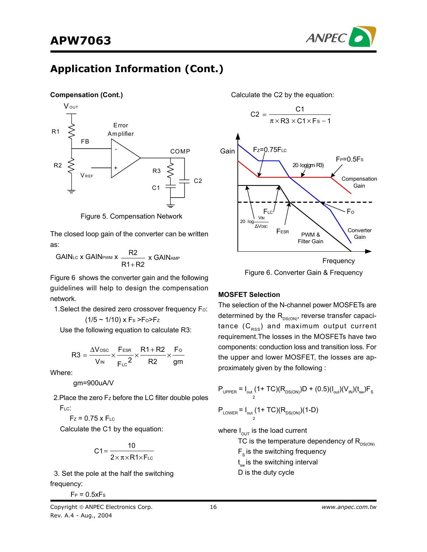

#### **Compensation (Cont.)**



Figure 5. Compensation Network

The closed loop gain of the converter can be written as:

GAINLC **x GAINPWM** X R1+R2 R2 + x GAINAMP

Figure 6 shows the converter gain and the following guidelines will help to design the compensation network.

1. Select the desired zero crossover frequency Fo:

$$
(1/5 \sim 1/10) \times F_s > F_0 > F_z
$$

Use the following equation to calculate R3:

$$
R3 = \frac{\Delta V_{\text{osc}}}{V_{\text{IN}}} \times \frac{F_{\text{ESR}}}{F_{\text{LC}}} \times \frac{R1 + R2}{R2} \times \frac{F_{\text{O}}}{gm}
$$

Where:

gm=900uA/V

2. Place the zero Fz before the LC filter double poles F<sub>LC</sub>:

$$
F_z = 0.75 \times F_{LC}
$$

Calculate the C1 by the equation:

$$
C1 = \frac{10}{2 \times \pi \times R1 \times F_{LC}}
$$

 3. Set the pole at the half the switching frequency:

 $F_P = 0.5xFs$ 

Calculate the C2 by the equation:



Figure 6. Converter Gain & Frequency

#### **MOSFET Selection**

The selection of the N-channel power MOSFETs are determined by the  $R_{DS(ON)}$ , reverse transfer capacitance  $(C_{RSS})$  and maximum output current requirement.The losses in the MOSFETs have two components: conduction loss and transition loss. For the upper and lower MOSFET, the losses are approximately given by the following :

$$
P_{\text{UPPER}} = I_{\text{out}} (1 + TC)(R_{\text{DS(ON)}})D + (0.5)(I_{\text{out}})(V_{\text{IN}})(t_{\text{sw}})F_{\text{S}}
$$

$$
P_{\text{LOWER}} = I_{\text{out}} (1 + TC)(R_{\text{DS(ON)}})(1 - D)
$$

where  $I_{\text{OUT}}$  is the load current

TC is the temperature dependency of  $R_{DS(ON)}$ 

 $F_s$  is the switching frequency

t<sub>sw</sub> is the switching interval

D is the duty cycle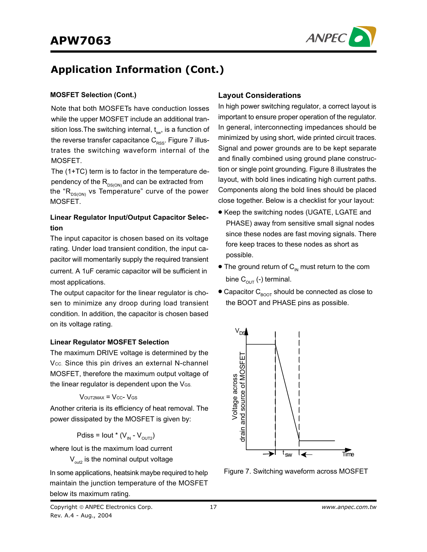

### **MOSFET Selection (Cont.)**

Note that both MOSFETs have conduction losses while the upper MOSFET include an additional transition loss. The switching internal,  $t_{\text{sw}}$ , is a function of the reverse transfer capacitance  $C_{\rm RSS}$ . Figure 7 illustrates the switching waveform internal of the MOSFET.

The (1+TC) term is to factor in the temperature dependency of the  $R_{DS(ON)}$  and can be extracted from the " $R_{DS(ON)}$  vs Temperature" curve of the power MOSFET.

### **Linear Regulator Input/Output Capacitor Selection**

The input capacitor is chosen based on its voltage rating. Under load transient condition, the input capacitor will momentarily supply the required transient current. A 1uF ceramic capacitor will be sufficient in most applications.

The output capacitor for the linear regulator is chosen to minimize any droop during load transient condition. In addition, the capacitor is chosen based on its voltage rating.

#### **Linear Regulator MOSFET Selection**

The maximum DRIVE voltage is determined by the Vcc. Since this pin drives an external N-channel MOSFET, therefore the maximum output voltage of the linear regulator is dependent upon the  $V_{\text{GS}}$ .

$$
V_{\text{OUT2MAX}} = V_{\text{CC}} - V_{\text{GS}}
$$

Another criteria is its efficiency of heat removal. The power dissipated by the MOSFET is given by:

Pdiss = Iout \* 
$$
(V_{IN} - V_{OUT2})
$$

where Iout is the maximum load current

 $V_{\text{out2}}$  is the nominal output voltage



# important to ensure proper operation of the regulator.

In general, interconnecting impedances should be minimized by using short, wide printed circuit traces. Signal and power grounds are to be kept separate and finally combined using ground plane construction or single point grounding. Figure 8 illustrates the layout, with bold lines indicating high current paths. Components along the bold lines should be placed close together. Below is a checklist for your layout:

In high power switching regulator, a correct layout is

**Layout Considerations**

- Keep the switching nodes (UGATE, LGATE and PHASE) away from sensitive small signal nodes since these nodes are fast moving signals. There fore keep traces to these nodes as short as possible.
- The ground return of  $C_{\text{IN}}$  must return to the com bine  $C_{\text{out}}$  (-) terminal.
- Capacitor  $C_{\text{foot}}$  should be connected as close to the BOOT and PHASE pins as possible.



Figure 7. Switching waveform across MOSFET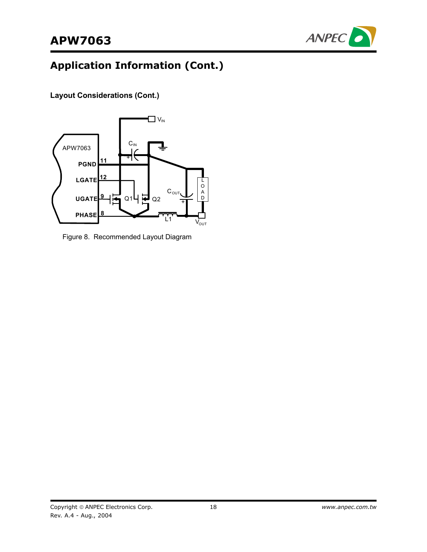

**Layout Considerations (Cont.)**



Figure 8. Recommended Layout Diagram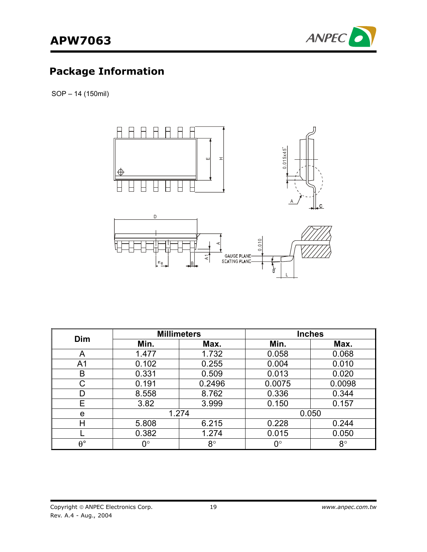

# **Package Information**

SOP – 14 (150mil)



| Dim              |       | <b>Millimeters</b> | <b>Inches</b> |             |  |
|------------------|-------|--------------------|---------------|-------------|--|
|                  | Min.  | Max.               | Min.          | Max.        |  |
| Α                | 1.477 | 1.732              | 0.058         | 0.068       |  |
| A <sub>1</sub>   | 0.102 | 0.255              | 0.004         | 0.010       |  |
| B                | 0.331 | 0.509              | 0.013         | 0.020       |  |
| C                | 0.191 | 0.2496             | 0.0075        | 0.0098      |  |
| D                | 8.558 | 8.762              | 0.336         | 0.344       |  |
| E                | 3.82  | 3.999              | 0.150         | 0.157       |  |
| e                | 1.274 |                    |               | 0.050       |  |
| Н                | 5.808 | 6.215              | 0.228         | 0.244       |  |
|                  | 0.382 | 1.274              | 0.015         | 0.050       |  |
| $\theta^{\circ}$ | ∩°    | $8^{\circ}$        | $0^{\circ}$   | $8^{\circ}$ |  |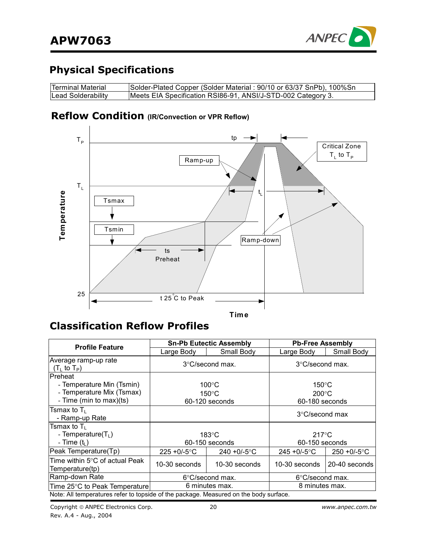

### **Physical Specifications**

| Terminal Material  | Solder-Plated Copper (Solder Material: 90/10 or 63/37 SnPb), 100%Sn |
|--------------------|---------------------------------------------------------------------|
| Lead Solderability | Meets EIA Specification RSI86-91, ANSI/J-STD-002 Category 3.        |

### **Reflow Condition (IR/Convection or VPR Reflow)**



### **Classification Reflow Profiles**

| <b>Profile Feature</b>                                                                               |                                                                                                              | <b>Sn-Pb Eutectic Assembly</b>  | <b>Pb-Free Assembly</b>           |                 |  |
|------------------------------------------------------------------------------------------------------|--------------------------------------------------------------------------------------------------------------|---------------------------------|-----------------------------------|-----------------|--|
|                                                                                                      | Large Body                                                                                                   | Small Body                      | Large Body                        | Small Body      |  |
| Average ramp-up rate<br>(T <sub>L</sub> to T <sub>P</sub> )                                          |                                                                                                              | $3^{\circ}$ C/second max.       | $3^{\circ}$ C/second max.         |                 |  |
| <b>IPreheat</b><br>- Temperature Min (Tsmin)<br>- Temperature Mix (Tsmax)<br>- Time (min to max)(ts) | $100^{\circ}$ C<br>$150^{\circ}$ C<br>$200^{\circ}$ C<br>$150^{\circ}$ C<br>60-120 seconds<br>60-180 seconds |                                 |                                   |                 |  |
| Tsmax to $T_{\text{L}}$<br>- Ramp-up Rate                                                            |                                                                                                              |                                 | $3^{\circ}$ C/second max          |                 |  |
| Tsmax to $\mathsf{T}_{\mathsf{L}}$<br>- Temperature( $T_L$ )<br>- Time $(tL)$                        |                                                                                                              | $183^\circ C$<br>60-150 seconds | $217^{\circ}$ C<br>60-150 seconds |                 |  |
| Peak Temperature(Tp)                                                                                 | $225 + 0/-5$ °C                                                                                              | 240 + $0/-5$ °C                 | $245 + 0/-5$ °C                   | $250 + 0/-5$ °C |  |
| Time within 5°C of actual Peak<br>Temperature(tp)                                                    | 10-30 seconds                                                                                                | 10-30 seconds                   | 10-30 seconds                     | 20-40 seconds   |  |
| Ramp-down Rate                                                                                       | $6^{\circ}$ C/second max.                                                                                    |                                 | $6^{\circ}$ C/second max.         |                 |  |
| Time 25°C to Peak Temperature                                                                        | 6 minutes max.                                                                                               |                                 | 8 minutes max.                    |                 |  |
| Note: All temperatures refer to topside of the package. Measured on the body surface.                |                                                                                                              |                                 |                                   |                 |  |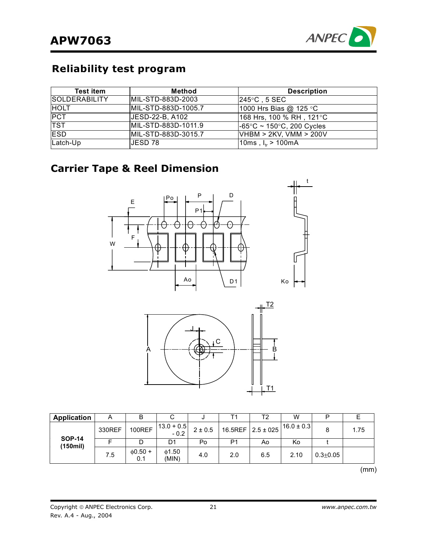

### **Reliability test program**

| <b>Test item</b>     | Method              | <b>Description</b>                             |
|----------------------|---------------------|------------------------------------------------|
| <b>SOLDERABILITY</b> | MIL-STD-883D-2003   | l245°C . 5 SEC .                               |
| <b>HOLT</b>          | MIL-STD-883D-1005.7 | 1000 Hrs Bias @ 125 °C                         |
| <b>PCT</b>           | UESD-22-B, A102     | 168 Hrs, 100 % RH , 121°C                      |
| <b>TST</b>           | MIL-STD-883D-1011.9 | $-65^{\circ}$ C ~ 150 $^{\circ}$ C, 200 Cycles |
| <b>IESD</b>          | MIL-STD-883D-3015.7 | VHBM > 2KV, VMM > 200V                         |
| Latch-Up             | IJESD 78.           | $10ms$ , $I_{tr} > 100mA$                      |

### **Carrier Tape & Reel Dimension**





| <b>Application</b>       | A      | ь                    | ◡                        | ື         |     | Τ2  | W                                                     |              |      |
|--------------------------|--------|----------------------|--------------------------|-----------|-----|-----|-------------------------------------------------------|--------------|------|
|                          | 330REF | <b>100REF</b>        | $ 13.0 + 0.5 $<br>$-0.2$ | $2\pm0.5$ |     |     | $16.5$ REF $\left[2.5 \pm 0.25\right]$ 16.0 $\pm$ 0.3 | 8            | 1.75 |
| <b>SOP-14</b><br>(150mi) |        |                      | D1                       | Po        | P1  | A٥  | Ko                                                    |              |      |
|                          | 7.5    | $\phi$ 0.50 +<br>0.1 | 01.50<br>(MIN)           | 4.0       | 2.0 | 6.5 | 2.10                                                  | $0.3 + 0.05$ |      |

 $\mathcal{M}(\mathsf{m}\mathsf{m})$  and  $\mathcal{M}(\mathsf{m}\mathsf{m})$  and  $\mathcal{M}(\mathsf{m}\mathsf{m})$